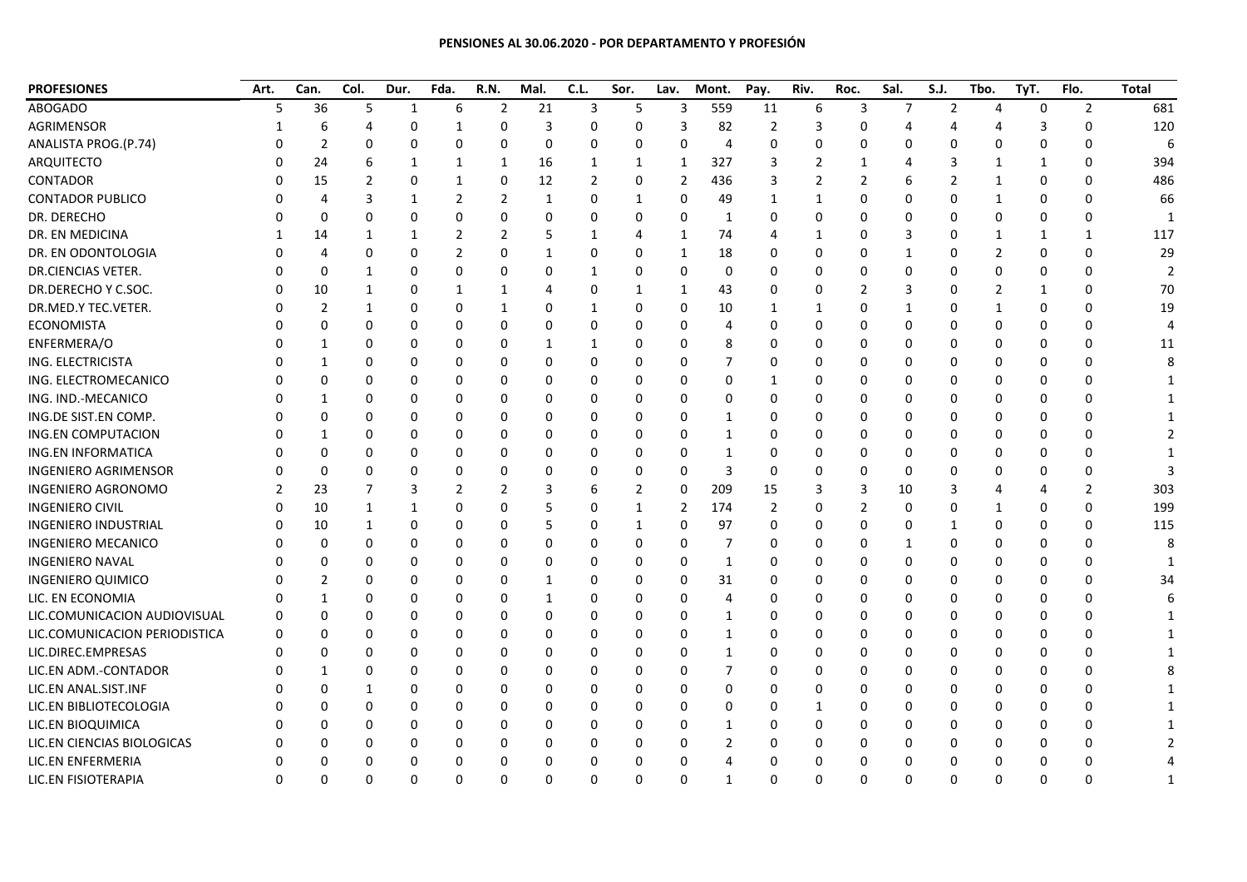## **PENSIONES AL 30.06.2020 - POR DEPARTAMENTO Y PROFESIÓN**

| <b>PROFESIONES</b>            | Art. | Can.         | Col.     | Dur.        | Fda.           | R.N.           | Mal. | C.L.           | Sor.         | Lav.     | Mont.          | Pay.     | Riv. | Roc.     | Sal.           | S.J.           | Tbo.           | TyT. | Flo.           | <b>Total</b> |
|-------------------------------|------|--------------|----------|-------------|----------------|----------------|------|----------------|--------------|----------|----------------|----------|------|----------|----------------|----------------|----------------|------|----------------|--------------|
| <b>ABOGADO</b>                | 5    | 36           | 5        | 1           | 6              | 2              | 21   | 3              | 5            | 3        | 559            | 11       | 6    | 3        | $\overline{7}$ | $\overline{2}$ | 4              | 0    | $\overline{2}$ | 681          |
| AGRIMENSOR                    |      | 6            | 4        | $\Omega$    | 1              | $\Omega$       | 3    | $\Omega$       | $\Omega$     | 3        | 82             | 2        | 3    | O        |                | 4              | 4              | 3    | $\mathbf 0$    | 120          |
| ANALISTA PROG.(P.74)          |      | 2            | O        | $\Omega$    | 0              | $\Omega$       | 0    | 0              | $\Omega$     | 0        | $\overline{4}$ | 0        | 0    | O        | ŋ              | $\Omega$       | $\Omega$       | 0    | $\Omega$       | F            |
| ARQUITECTO                    |      | 24           | 6        | 1           | 1              | 1              | 16   | 1              | 1            | 1        | 327            | 3        | 2    |          |                | 3              | 1              | 1    | 0              | 394          |
| <b>CONTADOR</b>               |      | 15           | 2        | 0           | 1              | 0              | 12   | $\overline{2}$ | 0            | 2        | 436            | 3        | 2    | 2        |                | $\overline{2}$ | $\mathbf{1}$   | 0    | $\Omega$       | 486          |
| <b>CONTADOR PUBLICO</b>       |      |              |          | $\mathbf 1$ | 2              | 2              | 1    | 0              | 1            | 0        | 49             | 1        | 1    | O        | ŋ              | 0              | 1              | 0    | 0              | 66           |
| DR. DERECHO                   |      | $\Omega$     | 0        | 0           | $\mathbf 0$    | 0              | 0    | 0              | $\Omega$     | 0        | 1              | 0        | 0    | 0        | 0              | 0              | $\Omega$       | 0    | $\mathbf{0}$   | -1           |
| DR. EN MEDICINA               |      | 14           |          | 1           | $\overline{2}$ | $\overline{2}$ | 5    | -1             | 4            | 1        | 74             | 4        |      | n        | 3              | 0              | 1              | 1    | $\mathbf 1$    | 117          |
| DR. EN ODONTOLOGIA            |      |              | 0        | 0           | 2              | $\Omega$       | 1    | 0              | 0            | 1        | 18             | 0        | 0    |          | -1             | 0              | $\overline{2}$ | 0    | 0              | 29           |
| DR.CIENCIAS VETER.            |      | 0            | 1        | 0           | 0              | 0              | 0    | 1              | 0            | 0        | 0              | 0        | 0    | 0        | 0              | 0              | 0              | 0    | $\Omega$       |              |
| DR.DERECHO Y C.SOC.           |      | 10           | 1        | 0           | 1              | 1              | 4    | $\Omega$       | 1            | 1        | 43             | 0        | 0    | 2        | 3              | 0              | 2              | 1    | $\Omega$       | 70           |
| DR.MED.Y TEC.VETER.           |      | 2            | 1        | $\Omega$    | 0              | 1              | 0    | -1             | $\Omega$     | 0        | 10             | 1        | 1    | 0        | $\mathbf{1}$   | $\Omega$       | $\mathbf{1}$   | 0    | $\Omega$       | 19           |
| <b>ECONOMISTA</b>             |      | 0            | 0        | 0           | 0              | 0              | 0    | 0              | 0            | 0        | $\overline{4}$ | 0        | 0    |          | 0              | 0              | 0              | 0    | 0              |              |
| ENFERMERA/O                   |      |              |          | 0           | 0              | $\Omega$       | 1    |                | 0            | 0        | 8              | 0        | 0    |          | 0              | $\Omega$       | $\Omega$       | 0    | $\Omega$       | 11           |
| ING. ELECTRICISTA             |      |              |          | $\Omega$    | $\Omega$       | $\Omega$       | 0    | 0              | 0            | 0        | 7              | 0        | 0    |          | ŋ              | $\Omega$       | $\Omega$       | 0    | $\Omega$       |              |
| ING. ELECTROMECANICO          |      | 0            | O        | $\Omega$    | 0              | $\Omega$       | 0    | 0              | 0            | 0        | $\Omega$       | 1        | 0    |          | 0              | 0              | $\Omega$       | 0    | 0              |              |
| ING. IND.-MECANICO            |      |              | n        | 0           | 0              | 0              | 0    | 0              | 0            | 0        | 0              | 0        | 0    | O        | ŋ              | 0              | 0              | 0    | 0              |              |
| ING.DE SIST.EN COMP.          |      | 0            | 0        | 0           | 0              | 0              | 0    | 0              | 0            | 0        | 1              | 0        | 0    | O        | 0              | 0              | 0              | 0    | 0              |              |
| <b>ING.EN COMPUTACION</b>     |      |              | 0        | $\Omega$    | 0              | $\Omega$       | 0    | 0              | 0            | 0        | $\mathbf{1}$   | 0        | 0    |          | 0              | 0              | $\Omega$       | 0    | $\Omega$       |              |
| <b>ING.EN INFORMATICA</b>     |      | ŋ            | n        | $\Omega$    | $\Omega$       | $\Omega$       | 0    | 0              | 0            | $\Omega$ | $\mathbf 1$    | 0        | 0    | n        | ŋ              | $\Omega$       | $\Omega$       | 0    | $\Omega$       |              |
| <b>INGENIERO AGRIMENSOR</b>   |      | <sup>0</sup> | O        | O           | 0              | $\Omega$       | 0    | 0              | 0            | 0        | 3              | 0        | 0    | n        | n              | $\Omega$       | O              | 0    | 0              |              |
| INGENIERO AGRONOMO            |      | 23           |          | 3           | 2              | 2              | 3    | 6              | 2            | 0        | 209            | 15       | 3    | 3        | 10             | 3              |                | 4    | 2              | 303          |
| <b>INGENIERO CIVIL</b>        |      | 10           |          | 1           | $\Omega$       | $\Omega$       | 5    | 0              | 1            | 2        | 174            | 2        | 0    | 2        | 0              | $\Omega$       | 1              | 0    | 0              | 199          |
| <b>INGENIERO INDUSTRIAL</b>   |      | 10           | 1        | $\Omega$    | $\Omega$       | $\Omega$       | 5    | 0              | $\mathbf{1}$ | 0        | 97             | 0        | 0    | 0        | 0              | $\mathbf{1}$   | $\Omega$       | 0    | $\Omega$       | 115          |
| <b>INGENIERO MECANICO</b>     |      | $\Omega$     | O        | $\Omega$    | $\Omega$       | $\Omega$       | 0    | O              | $\Omega$     | 0        | 7              | 0        | 0    | O        | $\mathbf{1}$   | $\Omega$       | $\Omega$       | 0    | $\Omega$       |              |
| <b>INGENIERO NAVAL</b>        |      | ი            | 0        | 0           | 0              | 0              | 0    | 0              | 0            | 0        | 1              | 0        | 0    | 0        | 0              | $\Omega$       | 0              | 0    | 0              |              |
| <b>INGENIERO QUIMICO</b>      |      |              | O        | 0           | 0              | 0              | 1    | 0              | 0            | 0        | 31             | 0        | 0    | O        | 0              | 0              | 0              | 0    | $\Omega$       | 34           |
| LIC. EN ECONOMIA              |      |              | O        | 0           | 0              | 0              | 1    | 0              | 0            | 0        | $\overline{a}$ | 0        | 0    | 0        | 0              | 0              | 0              | 0    | $\Omega$       |              |
| LIC.COMUNICACION AUDIOVISUAL  |      | ŋ            | O        | 0           | 0              | $\Omega$       | 0    | 0              | 0            | 0        | $\mathbf{1}$   | 0        | 0    |          | 0              | 0              | $\Omega$       | 0    | $\Omega$       |              |
| LIC.COMUNICACION PERIODISTICA |      | ŋ            | n        | $\Omega$    | 0              | $\Omega$       | 0    | O              | 0            | 0        | $\mathbf{1}$   | 0        | 0    |          | ŋ              | $\Omega$       | $\Omega$       | 0    | $\Omega$       |              |
| LIC.DIREC.EMPRESAS            |      | 0            | 0        | 0           | 0              | 0              | 0    | 0              | 0            | 0        | 1              | 0        | 0    | 0        | 0              | $\Omega$       | 0              | 0    | 0              |              |
| LIC.EN ADM.-CONTADOR          |      |              | O        | $\Omega$    | 0              | $\Omega$       | 0    | 0              | 0            | 0        | 7              | 0        | 0    | O        | 0              | $\Omega$       | 0              | 0    | $\Omega$       |              |
| LIC.EN ANAL.SIST.INF          |      |              |          | $\Omega$    | 0              | $\Omega$       | 0    | 0              | 0            | 0        | 0              | 0        | 0    | 0        | 0              | $\Omega$       | $\Omega$       | 0    | $\Omega$       |              |
| LIC.EN BIBLIOTECOLOGIA        |      |              |          | 0           | 0              | $\Omega$       | 0    | 0              | $\Omega$     | 0        | 0              | 0        | 1    |          | 0              | $\Omega$       | $\Omega$       | 0    | $\Omega$       |              |
| LIC.EN BIOQUIMICA             |      |              |          | 0           | 0              | $\Omega$       | 0    | 0              | 0            | 0        | 1              | 0        | 0    |          | 0              | $\Omega$       | $\Omega$       | 0    | 0              |              |
| LIC.EN CIENCIAS BIOLOGICAS    |      | U            |          | 0           | 0              | 0              | 0    | 0              | 0            | 0        | 2              | 0        | 0    |          | 0              | $\Omega$       | $\Omega$       | 0    | 0              |              |
| LIC.EN ENFERMERIA             |      | ŋ            | n        | $\Omega$    | 0              | 0              | 0    | $\Omega$       | 0            | 0        | 4              | 0        | 0    |          | 0              | 0              | $\Omega$       | 0    | $\Omega$       |              |
| LIC.EN FISIOTERAPIA           | U    | O            | $\Omega$ | $\Omega$    | $\mathbf 0$    | $\Omega$       | 0    | $\Omega$       | $\Omega$     | $\Omega$ | $\mathbf{1}$   | $\Omega$ | 0    | $\Omega$ | 0              | $\mathbf 0$    | $\Omega$       | 0    | ŋ              |              |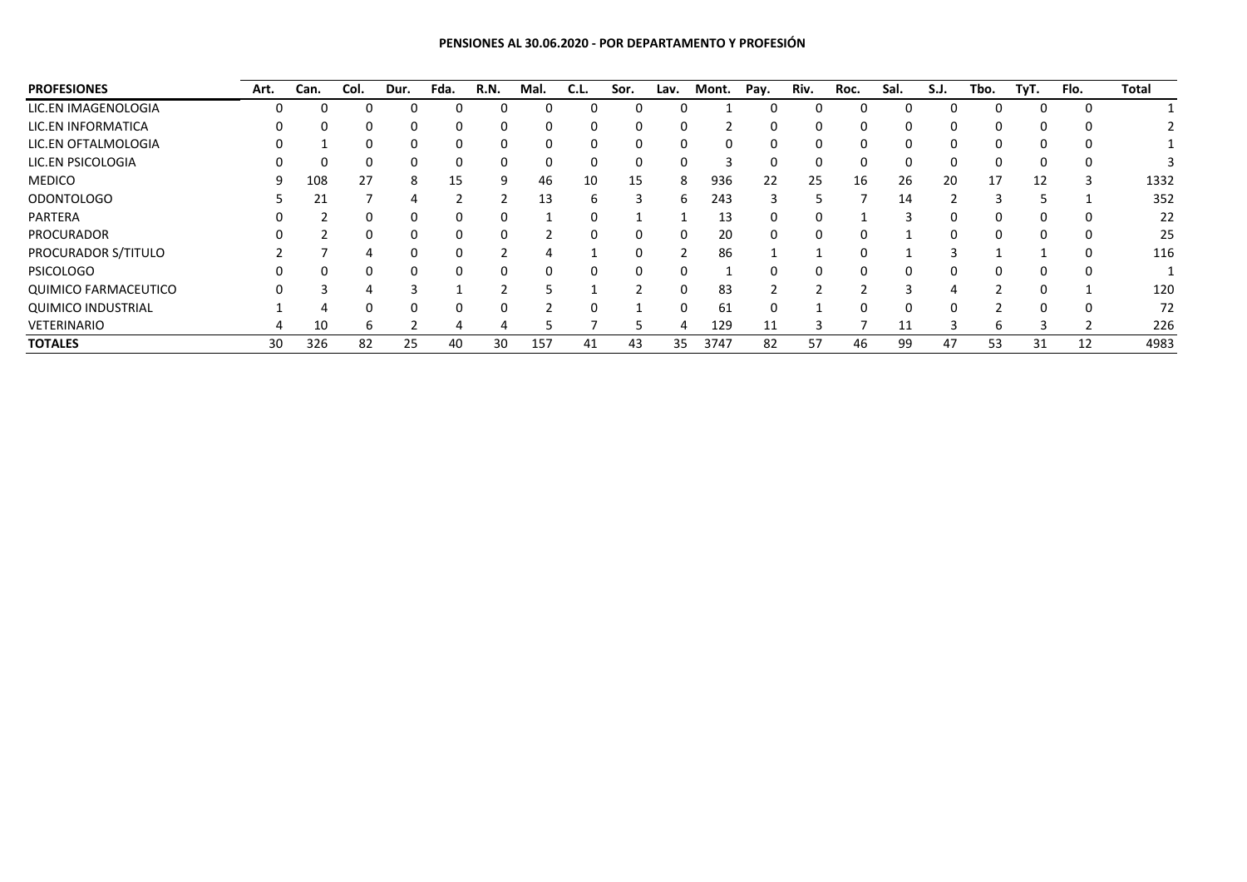## **PENSIONES AL 30.06.2020 - POR DEPARTAMENTO Y PROFESIÓN**

| <b>PROFESIONES</b>          | Art.     | Can.     | Col.     | Dur.     | Fda. | R.N. | Mal. | C.L.         | Sor.     | Lav.     | Mont. | Pay.     | Riv.     | Roc.     | Sal. | S.J.     | Tbo.         | TyT. | Flo. | Total |
|-----------------------------|----------|----------|----------|----------|------|------|------|--------------|----------|----------|-------|----------|----------|----------|------|----------|--------------|------|------|-------|
| LIC.EN IMAGENOLOGIA         | 0        | $\Omega$ | $\Omega$ | 0        | 0    |      | 0    |              |          | $\Omega$ |       | 0        | 0        |          |      | 0        |              | 0    |      |       |
| LIC.EN INFORMATICA          |          |          |          | 0        | 0    |      | 0    | $\Omega$     | 0        | $\Omega$ |       | 0        | 0        |          | 0    | $\Omega$ |              |      |      |       |
| LIC.EN OFTALMOLOGIA         | $^{(1)}$ |          | 0        | 0        | 0    |      | 0    | 0            | $\Omega$ | 0        | 0     | 0        | 0        | 0        | 0    | 0        |              | 0    |      |       |
| LIC.EN PSICOLOGIA           |          |          | 0        | 0        | 0    |      | 0    | $\Omega$     |          | $\Omega$ |       | 0        | 0        | 0        |      | $\Omega$ |              | 0    |      |       |
| <b>MEDICO</b>               |          | 108      | 27       | 8        | 15   | 9    | 46   | 10           | 15       | 8        | 936   | 22       | 25       | 16       | 26   | 20       | 17           | 12   |      | 1332  |
| <b>ODONTOLOGO</b>           |          | 21       |          | 4        |      |      | 13   | h            | 3        | 6        | 243   | 3        | 5        |          | 14   | っ        |              |      |      | 352   |
| PARTERA                     |          |          |          |          | 0    |      |      |              |          |          | 13    | 0        |          |          |      | 0        |              |      |      | 22    |
| PROCURADOR                  |          |          | $\Omega$ | $\Omega$ | 0    |      |      | 0            | $\Omega$ | 0        | 20    | 0        | 0        | 0        |      | $\Omega$ | <sup>0</sup> | 0    |      | 25    |
| PROCURADOR S/TITULO         |          |          |          |          |      |      |      |              |          |          | 86    |          |          |          |      |          |              |      |      | 116   |
| <b>PSICOLOGO</b>            |          | 0        | 0        | $\Omega$ | 0    |      | 0    | <sup>0</sup> | $\Omega$ | $\Omega$ |       | $\Omega$ | $\Omega$ | $\Omega$ | 0    | $\Omega$ |              | 0    |      |       |
| <b>QUIMICO FARMACEUTICO</b> |          |          | 4        |          |      |      |      |              |          | 0        | 83    |          |          |          |      |          |              |      |      | 120   |
| <b>QUIMICO INDUSTRIAL</b>   |          | 4        | 0        | $\Omega$ | 0    |      |      | <sup>0</sup> |          | $\Omega$ | 61    | $\Omega$ |          | 0        | 0    | $\Omega$ |              | 0    | - 0  | 72    |
| VETERINARIO                 | 4        | 10       | b        |          | 4    |      |      |              |          | 4        | 129   | 11       |          |          | 11   | 3        | h            |      |      | 226   |
| <b>TOTALES</b>              | 30       | 326      | 82       | 25       | 40   | 30   | 157  | 41           | 43       | 35       | 3747  | 82       | 57       | 46       | 99   | 47       | 53           | 31   | 12   | 4983  |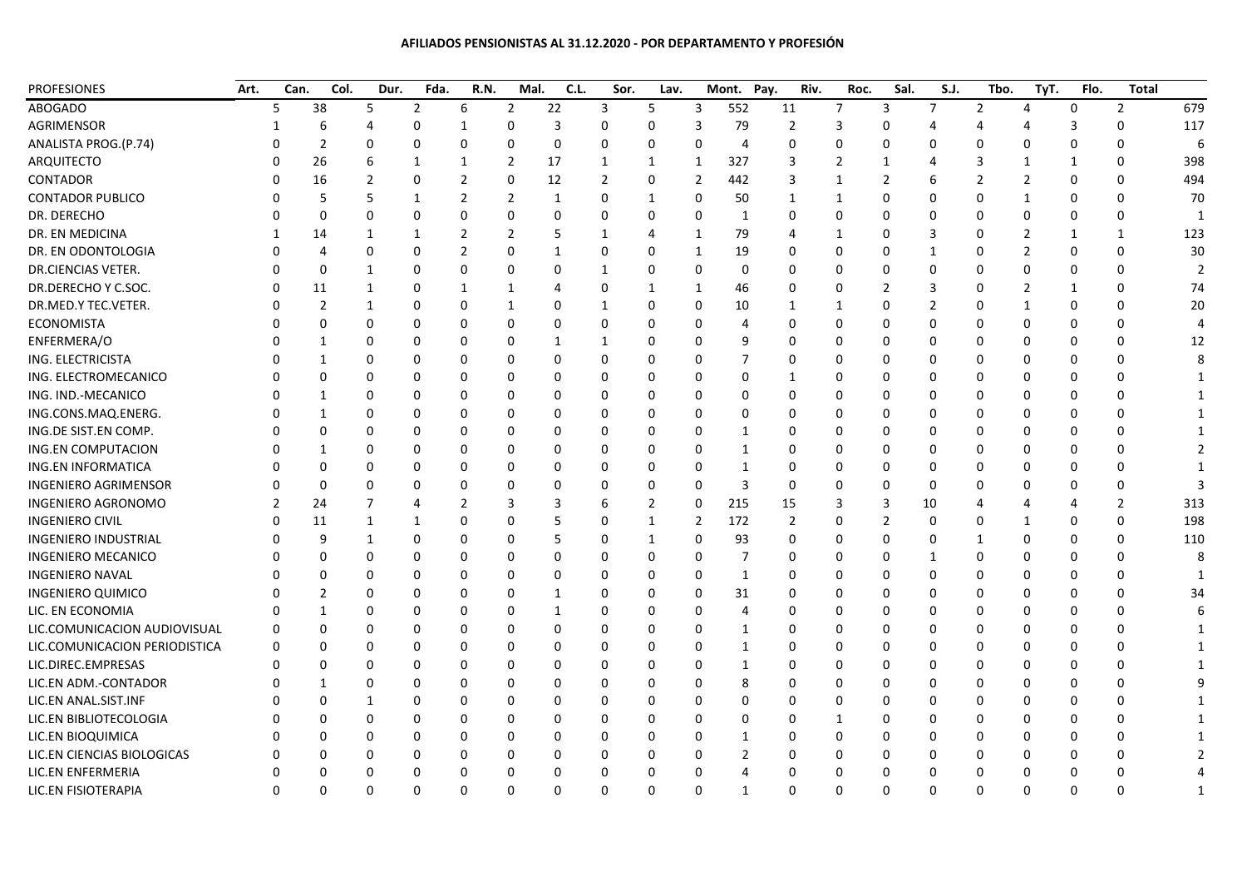## **AFILIADOS PENSIONISTAS AL 31.12.2020 - POR DEPARTAMENTO Y PROFESIÓN**

| <b>PROFESIONES</b>            | Art. | Can.     | Col.         | Dur.         | Fda.           | R.N.           | Mal.           | C.L.     | Sor.           | Lav.           |                | Mont.<br>Pay.  | Riv.           | Roc.     | Sal. | S.J.     | Tbo. | TyT.         | Flo.         | <b>Total</b>   |     |
|-------------------------------|------|----------|--------------|--------------|----------------|----------------|----------------|----------|----------------|----------------|----------------|----------------|----------------|----------|------|----------|------|--------------|--------------|----------------|-----|
| <b>ABOGADO</b>                |      | 5        | 38           | 5            | $\overline{2}$ | 6              | $\overline{2}$ | 22       | 3              | 5              | 3              | 552            | 11             | 7        | 3    | 7        | 2    | 4            | 0            | 2              | 679 |
| AGRIMENSOR                    |      |          | 6            |              | 0              | 1              | 0              | 3        | 0              | $\Omega$       | 3              | 79             | 2              | 3        | 0    |          |      |              | 3            | 0              | 117 |
| ANALISTA PROG.(P.74)          |      |          | 2            | $\Omega$     | $\Omega$       | $\mathbf 0$    | 0              | 0        | 0              | $\Omega$       | 0              | 4              | 0              | $\Omega$ | O    |          |      |              | 0            | 0              | ĥ   |
| ARQUITECTO                    |      |          | 26           | 6            | 1              | $\mathbf{1}$   | 2              | 17       | 1              | 1              | 1              | 327            | 3              | 2        |      |          |      |              | $\mathbf{1}$ | 0              | 398 |
| <b>CONTADOR</b>               |      |          | 16           | 2            | $\Omega$       | 2              | 0              | 12       | $\overline{2}$ | 0              | 2              | 442            | 3              | 1        | 2    |          |      | 2            | $\Omega$     | 0              | 494 |
| <b>CONTADOR PUBLICO</b>       |      |          | 5            | 5            | 1              | 2              | 2              | 1        | 0              | 1              | 0              | 50             | $\mathbf{1}$   | 1        | 0    |          |      |              | 0            | 0              | 70  |
| DR. DERECHO                   |      |          | <sup>0</sup> | $\Omega$     | $\Omega$       | 0              | $\Omega$       | $\Omega$ | $\Omega$       | $\Omega$       | $\Omega$       | 1              | 0              | $\Omega$ | 0    |          |      | n            | $\Omega$     | 0              |     |
| DR. EN MEDICINA               |      |          | 14           | 1            | 1              | 2              | 2              | 5        | 1              | 4              | 1              | 79             | 4              | 1        | 0    |          |      |              | -1           | -1             | 123 |
| DR. EN ODONTOLOGIA            |      |          |              | $\Omega$     | $\Omega$       | $\overline{2}$ | 0              | -1       | 0              | 0              | 1              | 19             | 0              | 0        | 0    |          |      |              | O            | $\Omega$       | 30  |
| DR.CIENCIAS VETER.            |      |          | O            | $\mathbf{1}$ | $\Omega$       | 0              | $\Omega$       | 0        | 1              | $\Omega$       | $\Omega$       | $\Omega$       | 0              | O        |      |          |      |              | ŋ            | $\Omega$       |     |
| DR.DERECHO Y C.SOC.           |      | ŋ        | 11           | $\mathbf{1}$ | $\Omega$       | $\mathbf{1}$   | $\mathbf{1}$   | 4        | 0              | 1              | 1              | 46             | 0              | 0        | 2    |          |      | 2            | $\mathbf{1}$ | 0              | 74  |
| DR.MED.Y TEC.VETER.           |      | ŋ        | 2            | 1            | 0              | 0              | 1              | 0        | 1              | 0              | 0              | 10             | 1              |          | O    |          |      |              | 0            | $\Omega$       | 20  |
| <b>ECONOMISTA</b>             |      |          | 0            | n            | 0              | 0              | 0              | 0        | 0              | 0              | 0              | 4              | 0              | O        | U    |          |      | $\Omega$     | 0            | 0              |     |
| ENFERMERA/O                   |      |          |              |              | 0              | 0              | $\Omega$       | -1       | 1              | 0              | $\Omega$       | q              | 0              | n        | U    |          |      |              | ŋ            | $\Omega$       | 12  |
| ING. ELECTRICISTA             |      |          | 1            | n            | 0              | O              | $\Omega$       | 0        | 0              | $\Omega$       | $\Omega$       | 7              | 0              | 0        | O    |          |      |              | O            | O              |     |
| ING. ELECTROMECANICO          |      |          | 0            | 0            | 0              | 0              | 0              | 0        | 0              | 0              | 0              | 0              | 1              | O        |      |          |      |              | O            | 0              |     |
| ING. IND.-MECANICO            |      |          |              |              | $\Omega$       | 0              | 0              | 0        | 0              | 0              | 0              | $\Omega$       | 0              | o        |      |          |      |              | ŋ            | $\Omega$       |     |
| ING.CONS.MAQ.ENERG.           |      | 0        |              | n            | 0              | 0              | 0              | 0        | 0              | 0              | $\Omega$       | 0              | 0              | 0        | O    |          |      |              | 0            | O              |     |
| ING.DE SIST.EN COMP.          |      |          | O            | $\Omega$     | 0              | 0              | 0              | 0        | 0              | 0              | 0              | 1              | 0              | 0        | U    |          |      | 0            | $\Omega$     | 0              |     |
| <b>ING.EN COMPUTACION</b>     |      |          |              |              | $\Omega$       | 0              | 0              | 0        | 0              | $\Omega$       | $\Omega$       | 1              | 0              | O        |      |          |      |              | ŋ            | $\Omega$       |     |
| ING.EN INFORMATICA            |      |          | n            | n            | $\Omega$       | 0              | 0              | 0        | $\Omega$       | $\Omega$       | $\Omega$       | 1              | 0              | 0        | O    |          |      |              | O            | 0              |     |
| <b>INGENIERO AGRIMENSOR</b>   |      | O        | $\Omega$     | $\Omega$     | 0              | 0              | $\Omega$       | 0        | 0              | 0              | $\Omega$       | 3              | 0              | 0        | O    | O        |      |              | O            | $\Omega$       |     |
| <b>INGENIERO AGRONOMO</b>     |      | 2        | 24           |              | 4              | 2              | 3              | 3        | 6              | $\overline{2}$ | 0              | 215            | 15             | 3        |      | 10       |      |              |              | $\overline{2}$ | 313 |
| <b>INGENIERO CIVIL</b>        |      |          | 11           | $\mathbf 1$  | 1              | 0              | O              | 5        | 0              | 1              | $\overline{2}$ | 172            | $\overline{2}$ | n        |      |          |      |              | 0            | $\Omega$       | 198 |
| <b>INGENIERO INDUSTRIAL</b>   |      | O        | 9            | 1            | 0              | 0              | 0              | 5        | 0              | 1              | 0              | 93             | 0              | 0        | O    |          |      |              | $\Omega$     | $\Omega$       | 110 |
| <b>INGENIERO MECANICO</b>     |      | O        | 0            | 0            | 0              | 0              | 0              | 0        | 0              | 0              | 0              | 7              | 0              | 0        | O    |          |      | n            | 0            | 0              |     |
| <b>INGENIERO NAVAL</b>        |      |          |              |              | 0              | 0              | 0              | 0        | 0              | $\Omega$       | $\Omega$       | 1              | 0              | O        | n    |          |      |              | ŋ            | $\Omega$       |     |
| INGENIERO QUIMICO             |      |          | 2            | n            | $\Omega$       | 0              | 0              | -1       | 0              | $\Omega$       | $\Omega$       | 31             | 0              | O        | O    |          |      |              | 0            | 0              | 34  |
| LIC. EN ECONOMIA              |      |          | -1           | $\Omega$     | 0              | 0              | 0              | -1       | 0              | 0              | $\Omega$       | 4              | 0              | 0        | 0    |          |      |              | O            | 0              |     |
| LIC.COMUNICACION AUDIOVISUAL  |      | 0        |              |              | 0              | 0              | 0              | 0        | 0              | 0              | 0              | 1              | 0              |          |      |          |      |              |              |                |     |
| LIC.COMUNICACION PERIODISTICA |      | 0        | U            | n            | $\Omega$       | 0              | $\Omega$       | O        | 0              | 0              | $\Omega$       | 1              | U              | o        |      |          |      |              | ŋ            | n              |     |
| LIC.DIREC.EMPRESAS            |      | O        | n            | $\Omega$     | $\Omega$       | $\Omega$       | 0              | 0        | 0              | 0              | $\Omega$       | 1              | 0              | 0        | U    |          |      | n            | $\Omega$     | 0              |     |
| LIC.EN ADM.-CONTADOR          |      |          |              | 0            | 0              | 0              | 0              | 0        | 0              | 0              | $\Omega$       | 8              | 0              | 0        | O    |          |      | 0            | 0            | 0              |     |
| LIC.EN ANAL.SIST.INF          |      |          | U            |              | 0              | 0              | 0              | 0        | 0              | 0              | $\Omega$       | $\Omega$       | 0              | 0        | U    |          |      |              | 0            | 0              |     |
| LIC.EN BIBLIOTECOLOGIA        |      | ŋ        | n            | $\Omega$     | 0              | 0              | $\Omega$       | 0        | 0              | $\Omega$       | $\Omega$       | $\Omega$       | 0              | 1        | O    |          |      |              | O            | $\Omega$       |     |
| LIC.EN BIOQUIMICA             |      | ŋ        |              | $\Omega$     | 0              | 0              | 0              | 0        | 0              | 0              | 0              | 1              | O              | 0        |      |          |      |              | O            | n              |     |
| LIC.EN CIENCIAS BIOLOGICAS    |      |          |              | 0            | 0              | 0              | $\Omega$       | 0        | $\mathbf 0$    | 0              | 0              | $\overline{2}$ | ი              |          |      |          |      |              |              |                |     |
| LIC.EN ENFERMERIA             |      | 0        | $\Omega$     | $\Omega$     | $\Omega$       | 0              | 0              | 0        | 0              | 0              | $\Omega$       | 4              | 0              | 0        | O    | O        |      | <sup>0</sup> | $\Omega$     | $\Omega$       |     |
| LIC.EN FISIOTERAPIA           |      | $\Omega$ | $\Omega$     | $\Omega$     | $\Omega$       | 0              | $\Omega$       | $\Omega$ | $\mathbf 0$    | 0              | $\Omega$       | $\mathbf{1}$   | 0              | $\Omega$ | 0    | $\Omega$ | ŋ    | $\Omega$     | $\Omega$     | $\Omega$       |     |